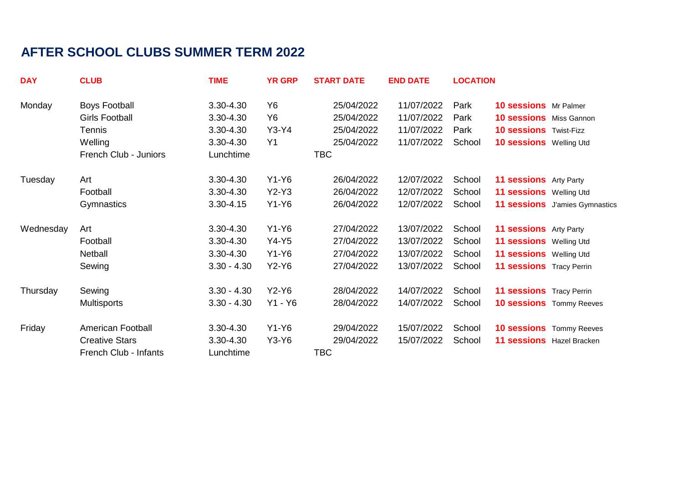## **AFTER SCHOOL CLUBS SUMMER TERM 2022**

| <b>DAY</b> | <b>CLUB</b>              | <b>TIME</b>   | <b>YR GRP</b>  | <b>START DATE</b> | <b>END DATE</b> | <b>LOCATION</b> |                                 |                                 |
|------------|--------------------------|---------------|----------------|-------------------|-----------------|-----------------|---------------------------------|---------------------------------|
| Monday     | <b>Boys Football</b>     | 3.30-4.30     | Y6             | 25/04/2022        | 11/07/2022      | Park            | 10 sessions Mr Palmer           |                                 |
|            | <b>Girls Football</b>    | 3.30-4.30     | Y <sub>6</sub> | 25/04/2022        | 11/07/2022      | Park            | <b>10 sessions</b> Miss Gannon  |                                 |
|            | Tennis                   | 3.30-4.30     | $Y3-Y4$        | 25/04/2022        | 11/07/2022      | Park            | <b>10 sessions</b> Twist-Fizz   |                                 |
|            | Welling                  | 3.30-4.30     | Y <sub>1</sub> | 25/04/2022        | 11/07/2022      | School          | 10 sessions Welling Utd         |                                 |
|            | French Club - Juniors    | Lunchtime     |                | <b>TBC</b>        |                 |                 |                                 |                                 |
| Tuesday    | Art                      | 3.30-4.30     | $Y1-Y6$        | 26/04/2022        | 12/07/2022      | School          | 11 sessions Arty Party          |                                 |
|            | Football                 | 3.30-4.30     | $Y2-Y3$        | 26/04/2022        | 12/07/2022      | School          | 11 sessions Welling Utd         |                                 |
|            | <b>Gymnastics</b>        | 3.30-4.15     | $Y1-Y6$        | 26/04/2022        | 12/07/2022      | School          |                                 | 11 sessions J'amies Gymnastics  |
| Wednesday  | Art                      | 3.30-4.30     | $Y1-Y6$        | 27/04/2022        | 13/07/2022      | School          | 11 sessions Arty Party          |                                 |
|            | Football                 | 3.30-4.30     | $Y4-Y5$        | 27/04/2022        | 13/07/2022      | School          | 11 sessions Welling Utd         |                                 |
|            | Netball                  | 3.30-4.30     | $Y1-Y6$        | 27/04/2022        | 13/07/2022      | School          | <b>11 sessions</b> Welling Utd  |                                 |
|            | Sewing                   | $3.30 - 4.30$ | $Y2-Y6$        | 27/04/2022        | 13/07/2022      | School          | <b>11 sessions</b> Tracy Perrin |                                 |
| Thursday   | Sewing                   | $3.30 - 4.30$ | $Y2-Y6$        | 28/04/2022        | 14/07/2022      | School          | <b>11 sessions</b> Tracy Perrin |                                 |
|            | <b>Multisports</b>       | $3.30 - 4.30$ | Y1 - Y6        | 28/04/2022        | 14/07/2022      | School          |                                 | <b>10 sessions</b> Tommy Reeves |
| Friday     | <b>American Football</b> | 3.30-4.30     | $Y1-Y6$        | 29/04/2022        | 15/07/2022      | School          |                                 | <b>10 sessions</b> Tommy Reeves |
|            | <b>Creative Stars</b>    | 3.30-4.30     | Y3-Y6          | 29/04/2022        | 15/07/2022      | School          | 11 sessions Hazel Bracken       |                                 |
|            | French Club - Infants    | Lunchtime     |                | TBC               |                 |                 |                                 |                                 |